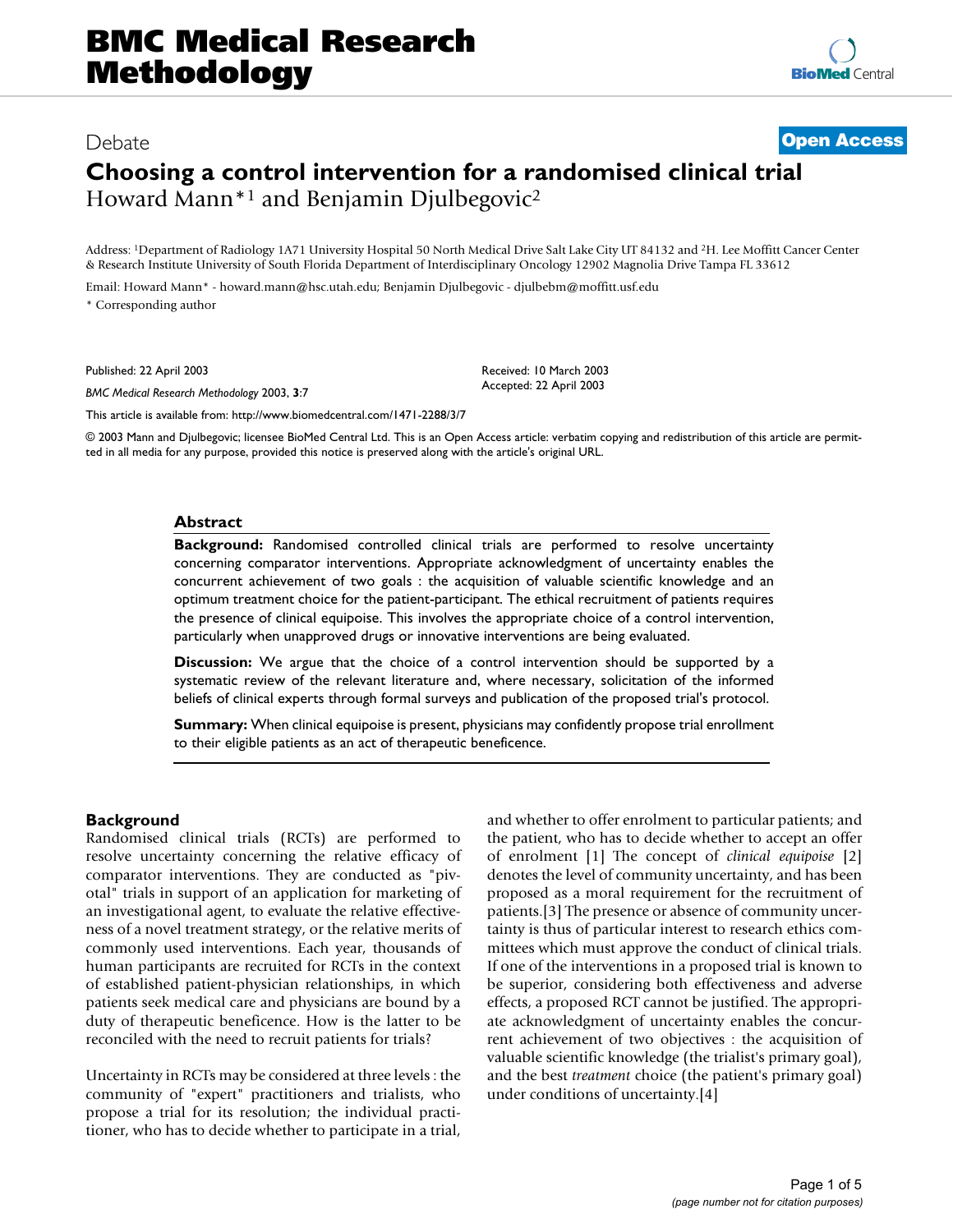# Debate **[Open Access](http://www.biomedcentral.com/info/about/charter/) Choosing a control intervention for a randomised clinical trial** Howard Mann\*1 and Benjamin Djulbegovic2

Address: 1Department of Radiology 1A71 University Hospital 50 North Medical Drive Salt Lake City UT 84132 and 2H. Lee Moffitt Cancer Center & Research Institute University of South Florida Department of Interdisciplinary Oncology 12902 Magnolia Drive Tampa FL 33612

Email: Howard Mann\* - howard.mann@hsc.utah.edu; Benjamin Djulbegovic - djulbebm@moffitt.usf.edu \* Corresponding author

Published: 22 April 2003

*BMC Medical Research Methodology* 2003, **3**:7

[This article is available from: http://www.biomedcentral.com/1471-2288/3/7](http://www.biomedcentral.com/1471-2288/3/7)

© 2003 Mann and Djulbegovic; licensee BioMed Central Ltd. This is an Open Access article: verbatim copying and redistribution of this article are permitted in all media for any purpose, provided this notice is preserved along with the article's original URL.

Received: 10 March 2003 Accepted: 22 April 2003

#### **Abstract**

**Background:** Randomised controlled clinical trials are performed to resolve uncertainty concerning comparator interventions. Appropriate acknowledgment of uncertainty enables the concurrent achievement of two goals : the acquisition of valuable scientific knowledge and an optimum treatment choice for the patient-participant. The ethical recruitment of patients requires the presence of clinical equipoise. This involves the appropriate choice of a control intervention, particularly when unapproved drugs or innovative interventions are being evaluated.

**Discussion:** We argue that the choice of a control intervention should be supported by a systematic review of the relevant literature and, where necessary, solicitation of the informed beliefs of clinical experts through formal surveys and publication of the proposed trial's protocol.

**Summary:** When clinical equipoise is present, physicians may confidently propose trial enrollment to their eligible patients as an act of therapeutic beneficence.

## **Background**

Randomised clinical trials (RCTs) are performed to resolve uncertainty concerning the relative efficacy of comparator interventions. They are conducted as "pivotal" trials in support of an application for marketing of an investigational agent, to evaluate the relative effectiveness of a novel treatment strategy, or the relative merits of commonly used interventions. Each year, thousands of human participants are recruited for RCTs in the context of established patient-physician relationships, in which patients seek medical care and physicians are bound by a duty of therapeutic beneficence. How is the latter to be reconciled with the need to recruit patients for trials?

Uncertainty in RCTs may be considered at three levels : the community of "expert" practitioners and trialists, who propose a trial for its resolution; the individual practitioner, who has to decide whether to participate in a trial, and whether to offer enrolment to particular patients; and the patient, who has to decide whether to accept an offer of enrolment [1] The concept of *clinical equipoise* [2] denotes the level of community uncertainty, and has been proposed as a moral requirement for the recruitment of patients.[3] The presence or absence of community uncertainty is thus of particular interest to research ethics committees which must approve the conduct of clinical trials. If one of the interventions in a proposed trial is known to be superior, considering both effectiveness and adverse effects, a proposed RCT cannot be justified. The appropriate acknowledgment of uncertainty enables the concurrent achievement of two objectives : the acquisition of valuable scientific knowledge (the trialist's primary goal), and the best *treatment* choice (the patient's primary goal) under conditions of uncertainty.[4]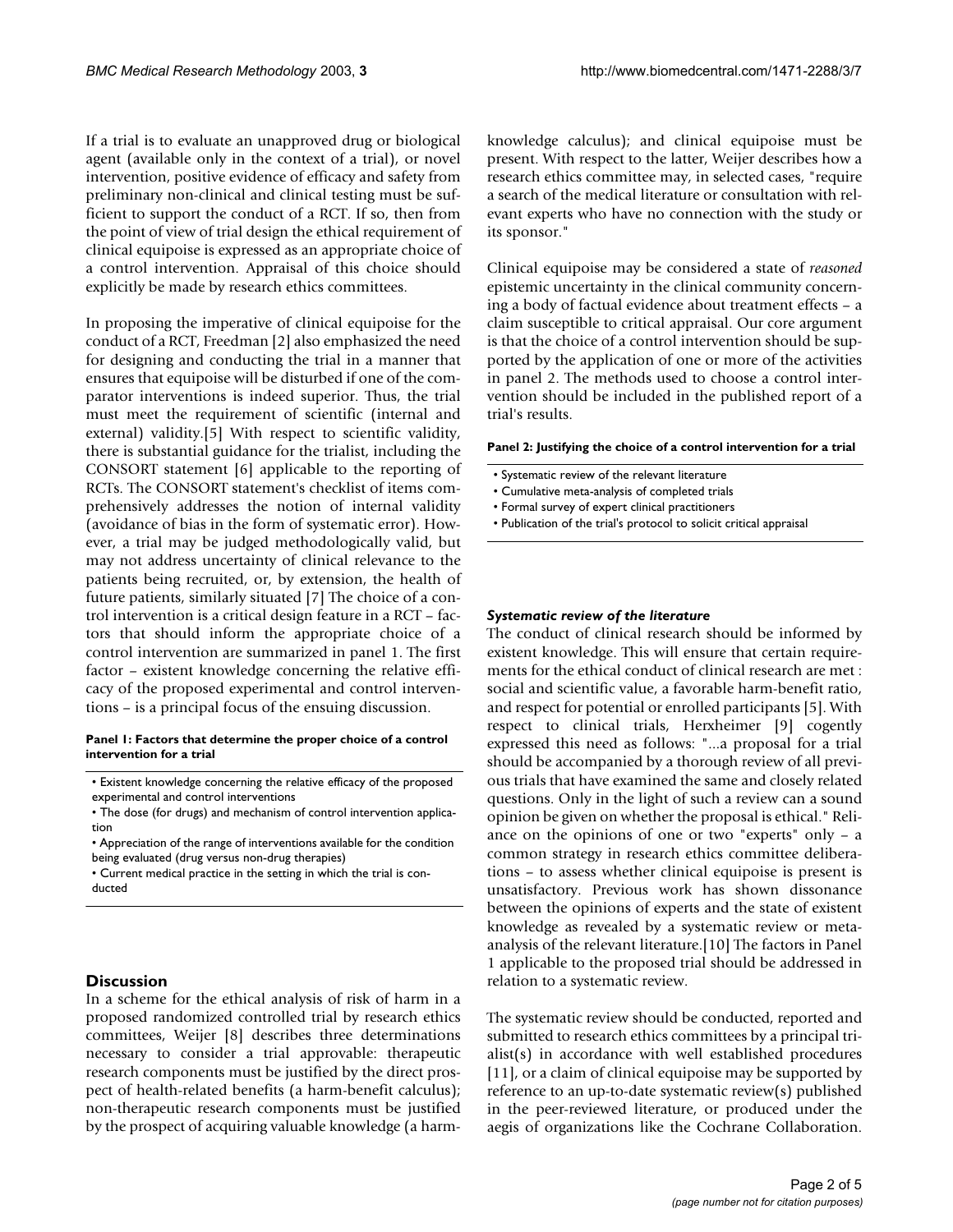If a trial is to evaluate an unapproved drug or biological agent (available only in the context of a trial), or novel intervention, positive evidence of efficacy and safety from preliminary non-clinical and clinical testing must be sufficient to support the conduct of a RCT. If so, then from the point of view of trial design the ethical requirement of clinical equipoise is expressed as an appropriate choice of a control intervention. Appraisal of this choice should explicitly be made by research ethics committees.

In proposing the imperative of clinical equipoise for the conduct of a RCT, Freedman [2] also emphasized the need for designing and conducting the trial in a manner that ensures that equipoise will be disturbed if one of the comparator interventions is indeed superior. Thus, the trial must meet the requirement of scientific (internal and external) validity.[5] With respect to scientific validity, there is substantial guidance for the trialist, including the CONSORT statement [6] applicable to the reporting of RCTs. The CONSORT statement's checklist of items comprehensively addresses the notion of internal validity (avoidance of bias in the form of systematic error). However, a trial may be judged methodologically valid, but may not address uncertainty of clinical relevance to the patients being recruited, or, by extension, the health of future patients, similarly situated [7] The choice of a control intervention is a critical design feature in a RCT – factors that should inform the appropriate choice of a control intervention are summarized in panel [1](#page-1-0). The first factor – existent knowledge concerning the relative efficacy of the proposed experimental and control interventions – is a principal focus of the ensuing discussion.

#### <span id="page-1-0"></span>**Panel 1: Factors that determine the proper choice of a control intervention for a trial**

• Existent knowledge concerning the relative efficacy of the proposed experimental and control interventions

• The dose (for drugs) and mechanism of control intervention application

• Appreciation of the range of interventions available for the condition being evaluated (drug versus non-drug therapies)

• Current medical practice in the setting in which the trial is conducted

## **Discussion**

In a scheme for the ethical analysis of risk of harm in a proposed randomized controlled trial by research ethics committees, Weijer [8] describes three determinations necessary to consider a trial approvable: therapeutic research components must be justified by the direct prospect of health-related benefits (a harm-benefit calculus); non-therapeutic research components must be justified by the prospect of acquiring valuable knowledge (a harmknowledge calculus); and clinical equipoise must be present. With respect to the latter, Weijer describes how a research ethics committee may, in selected cases, "require a search of the medical literature or consultation with relevant experts who have no connection with the study or its sponsor."

Clinical equipoise may be considered a state of *reasoned* epistemic uncertainty in the clinical community concerning a body of factual evidence about treatment effects – a claim susceptible to critical appraisal. Our core argument is that the choice of a control intervention should be supported by the application of one or more of the activities in panel [2](#page-1-1). The methods used to choose a control intervention should be included in the published report of a trial's results.

<span id="page-1-1"></span>**Panel 2: Justifying the choice of a control intervention for a trial**

- Systematic review of the relevant literature
- Cumulative meta-analysis of completed trials
- Formal survey of expert clinical practitioners
- Publication of the trial's protocol to solicit critical appraisal

## *Systematic review of the literature*

The conduct of clinical research should be informed by existent knowledge. This will ensure that certain requirements for the ethical conduct of clinical research are met : social and scientific value, a favorable harm-benefit ratio, and respect for potential or enrolled participants [5]. With respect to clinical trials, Herxheimer [9] cogently expressed this need as follows: "...a proposal for a trial should be accompanied by a thorough review of all previous trials that have examined the same and closely related questions. Only in the light of such a review can a sound opinion be given on whether the proposal is ethical." Reliance on the opinions of one or two "experts" only – a common strategy in research ethics committee deliberations – to assess whether clinical equipoise is present is unsatisfactory. Previous work has shown dissonance between the opinions of experts and the state of existent knowledge as revealed by a systematic review or metaanalysis of the relevant literature.[10] The factors in Panel [1](#page-1-0) applicable to the proposed trial should be addressed in relation to a systematic review.

The systematic review should be conducted, reported and submitted to research ethics committees by a principal trialist(s) in accordance with well established procedures [11], or a claim of clinical equipoise may be supported by reference to an up-to-date systematic review(s) published in the peer-reviewed literature, or produced under the aegis of organizations like the Cochrane Collaboration.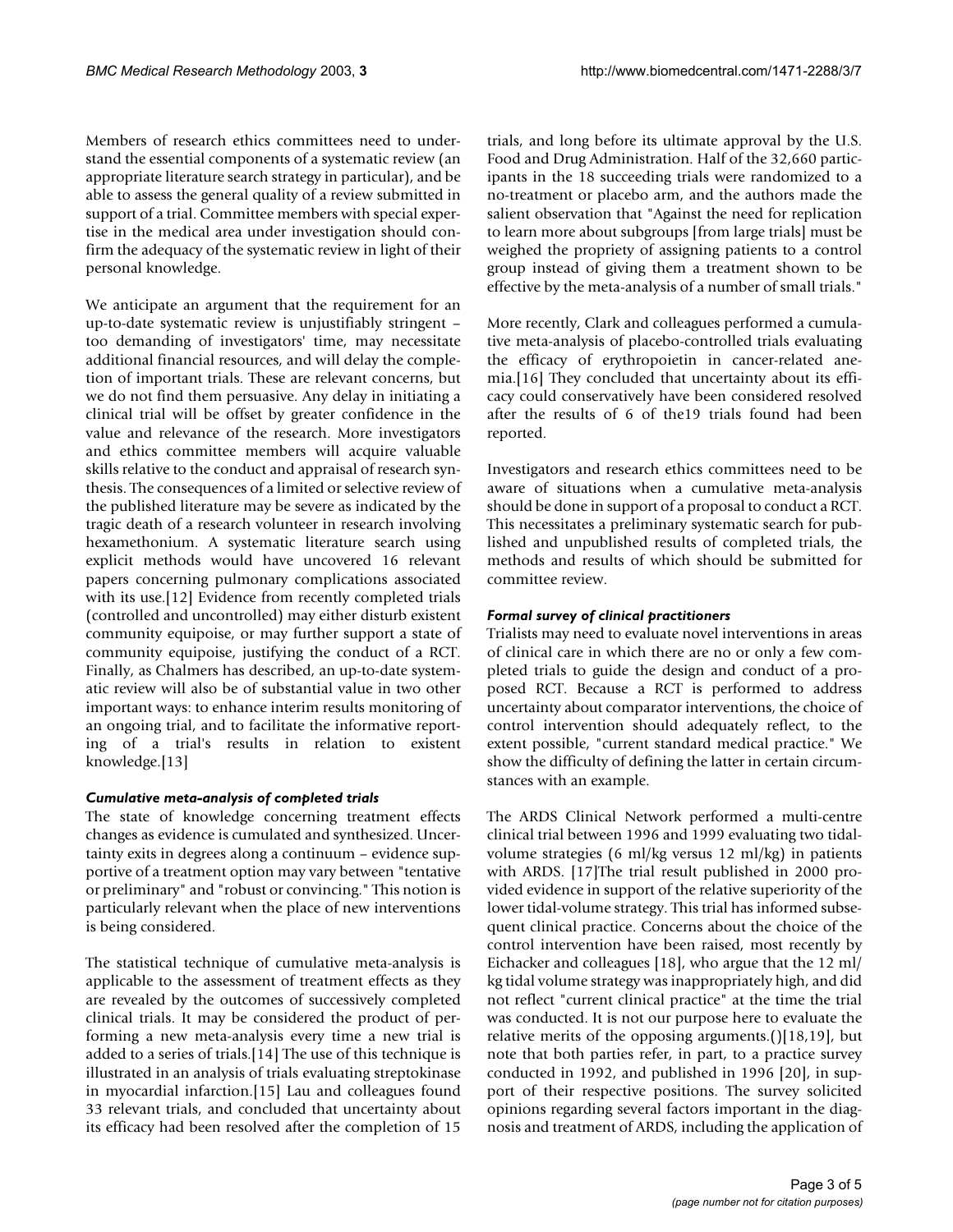Members of research ethics committees need to understand the essential components of a systematic review (an appropriate literature search strategy in particular), and be able to assess the general quality of a review submitted in support of a trial. Committee members with special expertise in the medical area under investigation should confirm the adequacy of the systematic review in light of their personal knowledge.

We anticipate an argument that the requirement for an up-to-date systematic review is unjustifiably stringent – too demanding of investigators' time, may necessitate additional financial resources, and will delay the completion of important trials. These are relevant concerns, but we do not find them persuasive. Any delay in initiating a clinical trial will be offset by greater confidence in the value and relevance of the research. More investigators and ethics committee members will acquire valuable skills relative to the conduct and appraisal of research synthesis. The consequences of a limited or selective review of the published literature may be severe as indicated by the tragic death of a research volunteer in research involving hexamethonium. A systematic literature search using explicit methods would have uncovered 16 relevant papers concerning pulmonary complications associated with its use.[12] Evidence from recently completed trials (controlled and uncontrolled) may either disturb existent community equipoise, or may further support a state of community equipoise, justifying the conduct of a RCT. Finally, as Chalmers has described, an up-to-date systematic review will also be of substantial value in two other important ways: to enhance interim results monitoring of an ongoing trial, and to facilitate the informative reporting of a trial's results in relation to existent knowledge.[13]

## *Cumulative meta-analysis of completed trials*

The state of knowledge concerning treatment effects changes as evidence is cumulated and synthesized. Uncertainty exits in degrees along a continuum – evidence supportive of a treatment option may vary between "tentative or preliminary" and "robust or convincing." This notion is particularly relevant when the place of new interventions is being considered.

The statistical technique of cumulative meta-analysis is applicable to the assessment of treatment effects as they are revealed by the outcomes of successively completed clinical trials. It may be considered the product of performing a new meta-analysis every time a new trial is added to a series of trials.[14] The use of this technique is illustrated in an analysis of trials evaluating streptokinase in myocardial infarction.[15] Lau and colleagues found 33 relevant trials, and concluded that uncertainty about its efficacy had been resolved after the completion of 15

trials, and long before its ultimate approval by the U.S. Food and Drug Administration. Half of the 32,660 participants in the 18 succeeding trials were randomized to a no-treatment or placebo arm, and the authors made the salient observation that "Against the need for replication to learn more about subgroups [from large trials] must be weighed the propriety of assigning patients to a control group instead of giving them a treatment shown to be effective by the meta-analysis of a number of small trials."

More recently, Clark and colleagues performed a cumulative meta-analysis of placebo-controlled trials evaluating the efficacy of erythropoietin in cancer-related anemia.[16] They concluded that uncertainty about its efficacy could conservatively have been considered resolved after the results of 6 of the19 trials found had been reported.

Investigators and research ethics committees need to be aware of situations when a cumulative meta-analysis should be done in support of a proposal to conduct a RCT. This necessitates a preliminary systematic search for published and unpublished results of completed trials, the methods and results of which should be submitted for committee review.

## *Formal survey of clinical practitioners*

Trialists may need to evaluate novel interventions in areas of clinical care in which there are no or only a few completed trials to guide the design and conduct of a proposed RCT. Because a RCT is performed to address uncertainty about comparator interventions, the choice of control intervention should adequately reflect, to the extent possible, "current standard medical practice." We show the difficulty of defining the latter in certain circumstances with an example.

The ARDS Clinical Network performed a multi-centre clinical trial between 1996 and 1999 evaluating two tidalvolume strategies (6 ml/kg versus 12 ml/kg) in patients with ARDS. [17]The trial result published in 2000 provided evidence in support of the relative superiority of the lower tidal-volume strategy. This trial has informed subsequent clinical practice. Concerns about the choice of the control intervention have been raised, most recently by Eichacker and colleagues [18], who argue that the 12 ml/ kg tidal volume strategy was inappropriately high, and did not reflect "current clinical practice" at the time the trial was conducted. It is not our purpose here to evaluate the relative merits of the opposing arguments.()[18,19], but note that both parties refer, in part, to a practice survey conducted in 1992, and published in 1996 [20], in support of their respective positions. The survey solicited opinions regarding several factors important in the diagnosis and treatment of ARDS, including the application of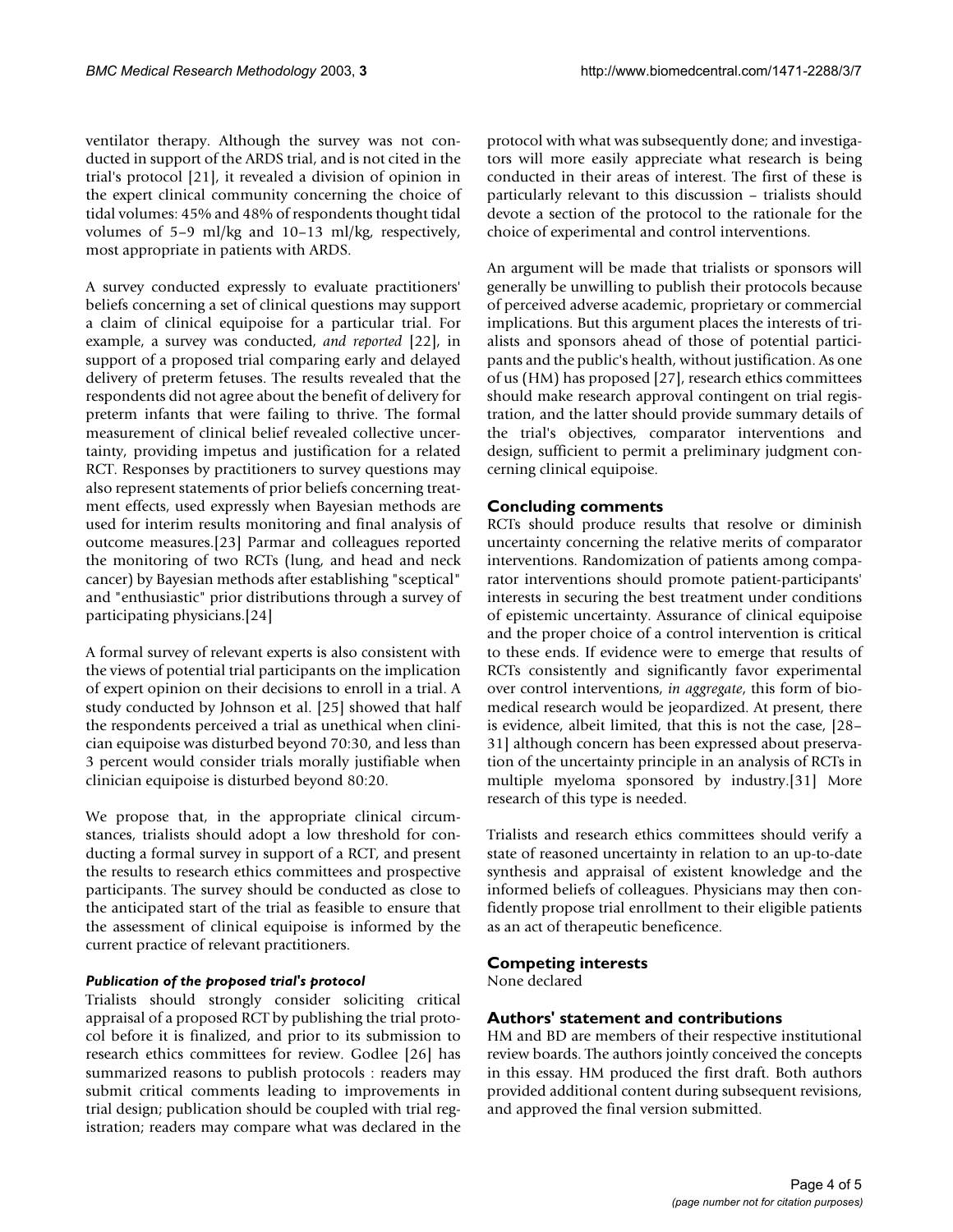ventilator therapy. Although the survey was not conducted in support of the ARDS trial, and is not cited in the trial's protocol [21], it revealed a division of opinion in the expert clinical community concerning the choice of tidal volumes: 45% and 48% of respondents thought tidal volumes of 5–9 ml/kg and 10–13 ml/kg, respectively, most appropriate in patients with ARDS.

A survey conducted expressly to evaluate practitioners' beliefs concerning a set of clinical questions may support a claim of clinical equipoise for a particular trial. For example, a survey was conducted, *and reported* [22], in support of a proposed trial comparing early and delayed delivery of preterm fetuses. The results revealed that the respondents did not agree about the benefit of delivery for preterm infants that were failing to thrive. The formal measurement of clinical belief revealed collective uncertainty, providing impetus and justification for a related RCT. Responses by practitioners to survey questions may also represent statements of prior beliefs concerning treatment effects, used expressly when Bayesian methods are used for interim results monitoring and final analysis of outcome measures.[23] Parmar and colleagues reported the monitoring of two RCTs (lung, and head and neck cancer) by Bayesian methods after establishing "sceptical" and "enthusiastic" prior distributions through a survey of participating physicians.[24]

A formal survey of relevant experts is also consistent with the views of potential trial participants on the implication of expert opinion on their decisions to enroll in a trial. A study conducted by Johnson et al. [25] showed that half the respondents perceived a trial as unethical when clinician equipoise was disturbed beyond 70:30, and less than 3 percent would consider trials morally justifiable when clinician equipoise is disturbed beyond 80:20.

We propose that, in the appropriate clinical circumstances, trialists should adopt a low threshold for conducting a formal survey in support of a RCT, and present the results to research ethics committees and prospective participants. The survey should be conducted as close to the anticipated start of the trial as feasible to ensure that the assessment of clinical equipoise is informed by the current practice of relevant practitioners.

# *Publication of the proposed trial's protocol*

Trialists should strongly consider soliciting critical appraisal of a proposed RCT by publishing the trial protocol before it is finalized, and prior to its submission to research ethics committees for review. Godlee [26] has summarized reasons to publish protocols : readers may submit critical comments leading to improvements in trial design; publication should be coupled with trial registration; readers may compare what was declared in the protocol with what was subsequently done; and investigators will more easily appreciate what research is being conducted in their areas of interest. The first of these is particularly relevant to this discussion – trialists should devote a section of the protocol to the rationale for the choice of experimental and control interventions.

An argument will be made that trialists or sponsors will generally be unwilling to publish their protocols because of perceived adverse academic, proprietary or commercial implications. But this argument places the interests of trialists and sponsors ahead of those of potential participants and the public's health, without justification. As one of us (HM) has proposed [27], research ethics committees should make research approval contingent on trial registration, and the latter should provide summary details of the trial's objectives, comparator interventions and design, sufficient to permit a preliminary judgment concerning clinical equipoise.

# **Concluding comments**

RCTs should produce results that resolve or diminish uncertainty concerning the relative merits of comparator interventions. Randomization of patients among comparator interventions should promote patient-participants' interests in securing the best treatment under conditions of epistemic uncertainty. Assurance of clinical equipoise and the proper choice of a control intervention is critical to these ends. If evidence were to emerge that results of RCTs consistently and significantly favor experimental over control interventions, *in aggregate*, this form of biomedical research would be jeopardized. At present, there is evidence, albeit limited, that this is not the case, [28– 31] although concern has been expressed about preservation of the uncertainty principle in an analysis of RCTs in multiple myeloma sponsored by industry.[31] More research of this type is needed.

Trialists and research ethics committees should verify a state of reasoned uncertainty in relation to an up-to-date synthesis and appraisal of existent knowledge and the informed beliefs of colleagues. Physicians may then confidently propose trial enrollment to their eligible patients as an act of therapeutic beneficence.

# **Competing interests**

None declared

# **Authors' statement and contributions**

HM and BD are members of their respective institutional review boards. The authors jointly conceived the concepts in this essay. HM produced the first draft. Both authors provided additional content during subsequent revisions, and approved the final version submitted.